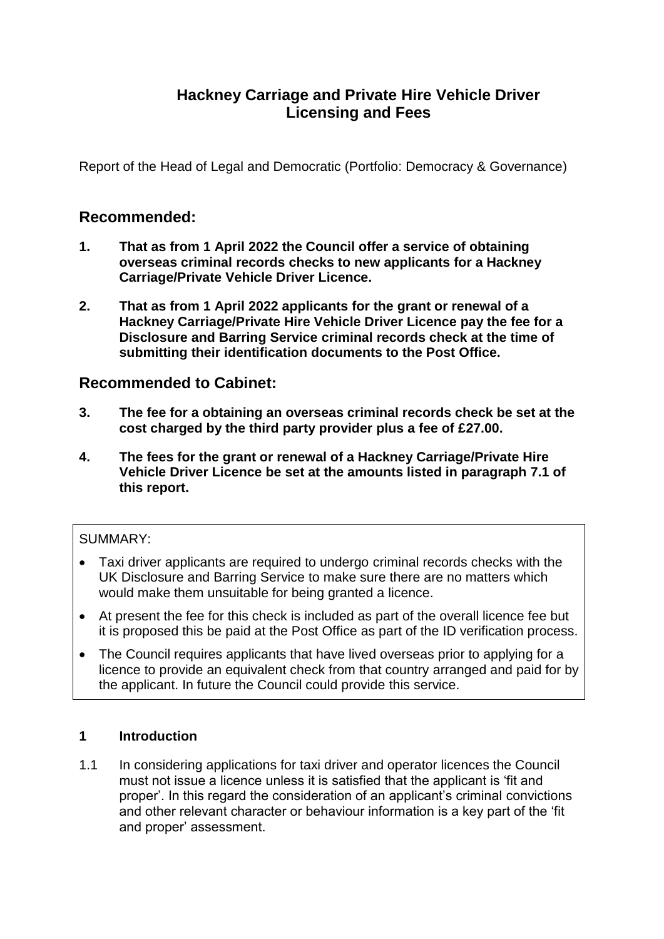# **Hackney Carriage and Private Hire Vehicle Driver Licensing and Fees**

Report of the Head of Legal and Democratic (Portfolio: Democracy & Governance)

## **Recommended:**

- **1. That as from 1 April 2022 the Council offer a service of obtaining overseas criminal records checks to new applicants for a Hackney Carriage/Private Vehicle Driver Licence.**
- **2. That as from 1 April 2022 applicants for the grant or renewal of a Hackney Carriage/Private Hire Vehicle Driver Licence pay the fee for a Disclosure and Barring Service criminal records check at the time of submitting their identification documents to the Post Office.**

## **Recommended to Cabinet:**

- **3. The fee for a obtaining an overseas criminal records check be set at the cost charged by the third party provider plus a fee of £27.00.**
- **4. The fees for the grant or renewal of a Hackney Carriage/Private Hire Vehicle Driver Licence be set at the amounts listed in paragraph 7.1 of this report.**

## SUMMARY:

- Taxi driver applicants are required to undergo criminal records checks with the UK Disclosure and Barring Service to make sure there are no matters which would make them unsuitable for being granted a licence.
- At present the fee for this check is included as part of the overall licence fee but it is proposed this be paid at the Post Office as part of the ID verification process.
- The Council requires applicants that have lived overseas prior to applying for a licence to provide an equivalent check from that country arranged and paid for by the applicant. In future the Council could provide this service.

## **1 Introduction**

1.1 In considering applications for taxi driver and operator licences the Council must not issue a licence unless it is satisfied that the applicant is 'fit and proper'. In this regard the consideration of an applicant's criminal convictions and other relevant character or behaviour information is a key part of the 'fit and proper' assessment.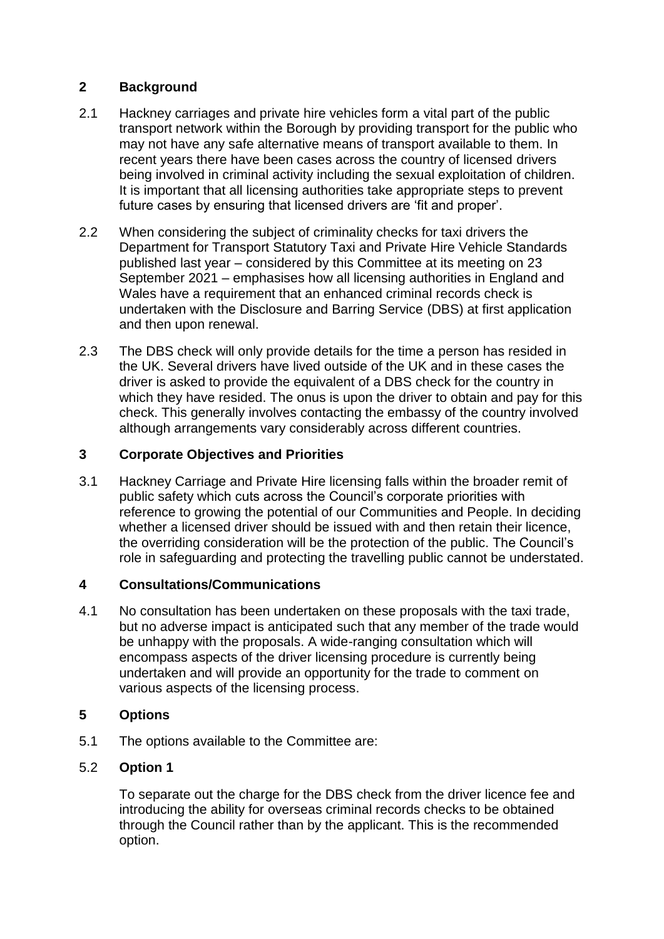## **2 Background**

- 2.1 Hackney carriages and private hire vehicles form a vital part of the public transport network within the Borough by providing transport for the public who may not have any safe alternative means of transport available to them. In recent years there have been cases across the country of licensed drivers being involved in criminal activity including the sexual exploitation of children. It is important that all licensing authorities take appropriate steps to prevent future cases by ensuring that licensed drivers are 'fit and proper'.
- 2.2 When considering the subject of criminality checks for taxi drivers the Department for Transport Statutory Taxi and Private Hire Vehicle Standards published last year – considered by this Committee at its meeting on 23 September 2021 – emphasises how all licensing authorities in England and Wales have a requirement that an enhanced criminal records check is undertaken with the Disclosure and Barring Service (DBS) at first application and then upon renewal.
- 2.3 The DBS check will only provide details for the time a person has resided in the UK. Several drivers have lived outside of the UK and in these cases the driver is asked to provide the equivalent of a DBS check for the country in which they have resided. The onus is upon the driver to obtain and pay for this check. This generally involves contacting the embassy of the country involved although arrangements vary considerably across different countries.

## **3 Corporate Objectives and Priorities**

3.1 Hackney Carriage and Private Hire licensing falls within the broader remit of public safety which cuts across the Council's corporate priorities with reference to growing the potential of our Communities and People. In deciding whether a licensed driver should be issued with and then retain their licence, the overriding consideration will be the protection of the public. The Council's role in safeguarding and protecting the travelling public cannot be understated.

## **4 Consultations/Communications**

4.1 No consultation has been undertaken on these proposals with the taxi trade, but no adverse impact is anticipated such that any member of the trade would be unhappy with the proposals. A wide-ranging consultation which will encompass aspects of the driver licensing procedure is currently being undertaken and will provide an opportunity for the trade to comment on various aspects of the licensing process.

## **5 Options**

5.1 The options available to the Committee are:

## 5.2 **Option 1**

To separate out the charge for the DBS check from the driver licence fee and introducing the ability for overseas criminal records checks to be obtained through the Council rather than by the applicant. This is the recommended option.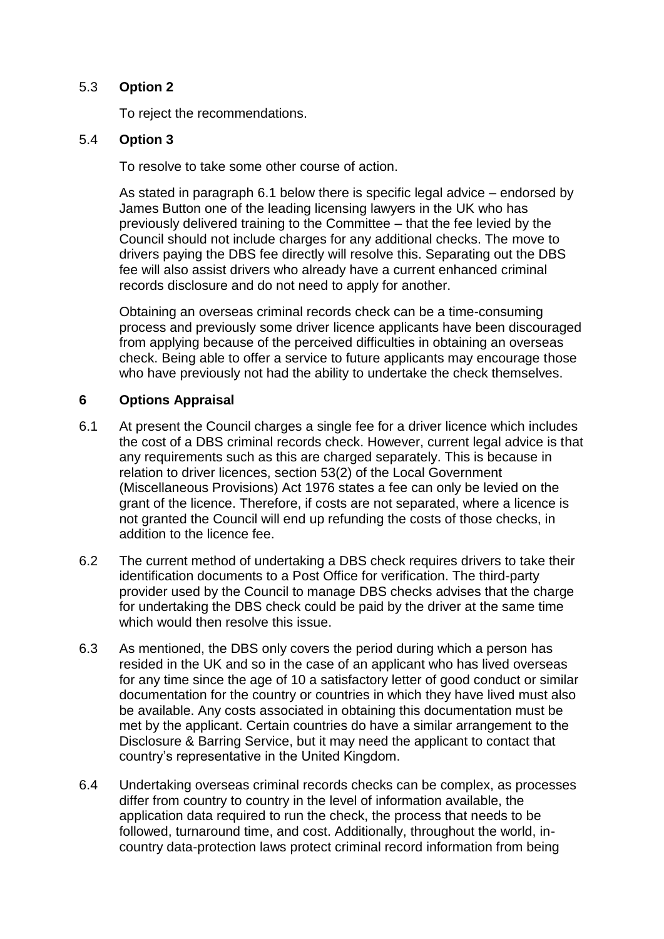#### 5.3 **Option 2**

To reject the recommendations.

#### 5.4 **Option 3**

To resolve to take some other course of action.

As stated in paragraph 6.1 below there is specific legal advice – endorsed by James Button one of the leading licensing lawyers in the UK who has previously delivered training to the Committee – that the fee levied by the Council should not include charges for any additional checks. The move to drivers paying the DBS fee directly will resolve this. Separating out the DBS fee will also assist drivers who already have a current enhanced criminal records disclosure and do not need to apply for another.

Obtaining an overseas criminal records check can be a time-consuming process and previously some driver licence applicants have been discouraged from applying because of the perceived difficulties in obtaining an overseas check. Being able to offer a service to future applicants may encourage those who have previously not had the ability to undertake the check themselves.

#### **6 Options Appraisal**

- 6.1 At present the Council charges a single fee for a driver licence which includes the cost of a DBS criminal records check. However, current legal advice is that any requirements such as this are charged separately. This is because in relation to driver licences, section 53(2) of the Local Government (Miscellaneous Provisions) Act 1976 states a fee can only be levied on the grant of the licence. Therefore, if costs are not separated, where a licence is not granted the Council will end up refunding the costs of those checks, in addition to the licence fee.
- 6.2 The current method of undertaking a DBS check requires drivers to take their identification documents to a Post Office for verification. The third-party provider used by the Council to manage DBS checks advises that the charge for undertaking the DBS check could be paid by the driver at the same time which would then resolve this issue.
- 6.3 As mentioned, the DBS only covers the period during which a person has resided in the UK and so in the case of an applicant who has lived overseas for any time since the age of 10 a satisfactory letter of good conduct or similar documentation for the country or countries in which they have lived must also be available. Any costs associated in obtaining this documentation must be met by the applicant. Certain countries do have a similar arrangement to the Disclosure & Barring Service, but it may need the applicant to contact that country's representative in the United Kingdom.
- 6.4 Undertaking overseas criminal records checks can be complex, as processes differ from country to country in the level of information available, the application data required to run the check, the process that needs to be followed, turnaround time, and cost. Additionally, throughout the world, incountry data-protection laws protect criminal record information from being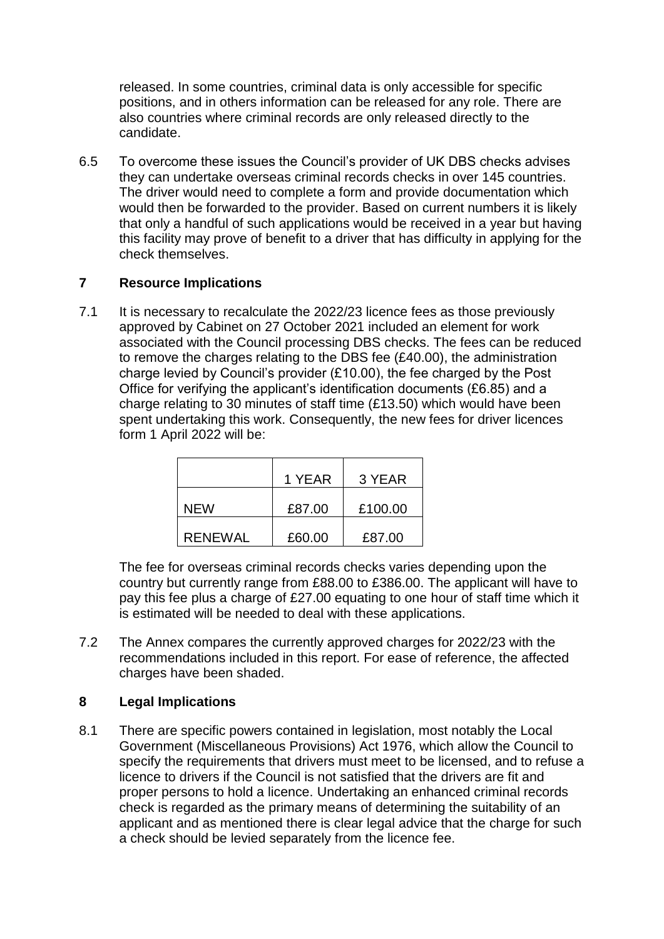released. In some countries, criminal data is only accessible for specific positions, and in others information can be released for any role. There are also countries where criminal records are only released directly to the candidate.

6.5 To overcome these issues the Council's provider of UK DBS checks advises they can undertake overseas criminal records checks in over 145 countries. The driver would need to complete a form and provide documentation which would then be forwarded to the provider. Based on current numbers it is likely that only a handful of such applications would be received in a year but having this facility may prove of benefit to a driver that has difficulty in applying for the check themselves.

#### **7 Resource Implications**

7.1 It is necessary to recalculate the 2022/23 licence fees as those previously approved by Cabinet on 27 October 2021 included an element for work associated with the Council processing DBS checks. The fees can be reduced to remove the charges relating to the DBS fee (£40.00), the administration charge levied by Council's provider (£10.00), the fee charged by the Post Office for verifying the applicant's identification documents (£6.85) and a charge relating to 30 minutes of staff time (£13.50) which would have been spent undertaking this work. Consequently, the new fees for driver licences form 1 April 2022 will be:

|         | 1 YEAR | 3 YEAR  |
|---------|--------|---------|
| NFW     | £87.00 | £100.00 |
| RFNFWAL | £60.00 | £87.00  |

The fee for overseas criminal records checks varies depending upon the country but currently range from £88.00 to £386.00. The applicant will have to pay this fee plus a charge of £27.00 equating to one hour of staff time which it is estimated will be needed to deal with these applications.

7.2 The Annex compares the currently approved charges for 2022/23 with the recommendations included in this report. For ease of reference, the affected charges have been shaded.

## **8 Legal Implications**

8.1 There are specific powers contained in legislation, most notably the Local Government (Miscellaneous Provisions) Act 1976, which allow the Council to specify the requirements that drivers must meet to be licensed, and to refuse a licence to drivers if the Council is not satisfied that the drivers are fit and proper persons to hold a licence. Undertaking an enhanced criminal records check is regarded as the primary means of determining the suitability of an applicant and as mentioned there is clear legal advice that the charge for such a check should be levied separately from the licence fee.